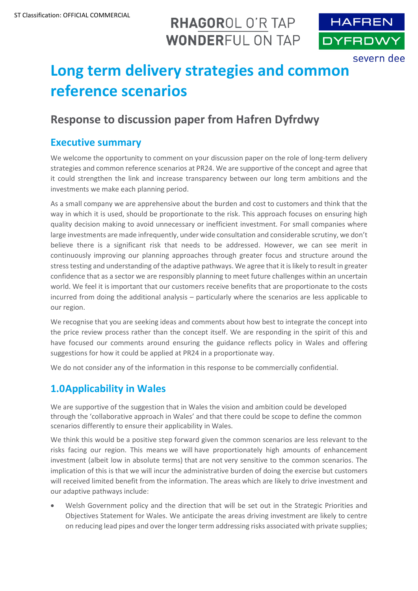## RHAGOROL O'R TAP **WONDERFUL ON TAP**



# **Long term delivery strategies and common reference scenarios**

### **Response to discussion paper from Hafren Dyfrdwy**

#### **Executive summary**

We welcome the opportunity to comment on your discussion paper on the role of long-term delivery strategies and common reference scenarios at PR24. We are supportive of the concept and agree that it could strengthen the link and increase transparency between our long term ambitions and the investments we make each planning period.

As a small company we are apprehensive about the burden and cost to customers and think that the way in which it is used, should be proportionate to the risk. This approach focuses on ensuring high quality decision making to avoid unnecessary or inefficient investment. For small companies where large investments are made infrequently, under wide consultation and considerable scrutiny, we don't believe there is a significant risk that needs to be addressed. However, we can see merit in continuously improving our planning approaches through greater focus and structure around the stress testing and understanding of the adaptive pathways. We agree that it is likely to result in greater confidence that as a sector we are responsibly planning to meet future challenges within an uncertain world. We feel it is important that our customers receive benefits that are proportionate to the costs incurred from doing the additional analysis – particularly where the scenarios are less applicable to our region.

We recognise that you are seeking ideas and comments about how best to integrate the concept into the price review process rather than the concept itself. We are responding in the spirit of this and have focused our comments around ensuring the guidance reflects policy in Wales and offering suggestions for how it could be applied at PR24 in a proportionate way.

We do not consider any of the information in this response to be commercially confidential.

#### **1.0Applicability in Wales**

We are supportive of the suggestion that in Wales the vision and ambition could be developed through the 'collaborative approach in Wales' and that there could be scope to define the common scenarios differently to ensure their applicability in Wales.

We think this would be a positive step forward given the common scenarios are less relevant to the risks facing our region. This means we will have proportionately high amounts of enhancement investment (albeit low in absolute terms) that are not very sensitive to the common scenarios. The implication of this is that we will incur the administrative burden of doing the exercise but customers will received limited benefit from the information. The areas which are likely to drive investment and our adaptive pathways include:

• Welsh Government policy and the direction that will be set out in the Strategic Priorities and Objectives Statement for Wales. We anticipate the areas driving investment are likely to centre on reducing lead pipes and over the longer term addressing risks associated with private supplies;